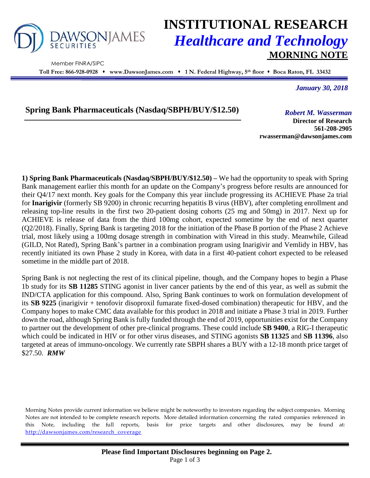

Member FINRA/SIPC

## **INSTITUTIONAL RESEARCH** *Healthcare and Technology* **MORNING NOTE**

**Toll Free: 866-928-0928 www.DawsonJames.com 1 N. Federal Highway, 5 th floor Boca Raton, FL 33432**

*January 30, 2018*

**Spring Bank Pharmaceuticals (Nasdaq/SBPH/BUY/\$12.50)** *Robert M. Wasserman*

**Director of Research 561-208-2905 rwasserman@dawsonjames.com**

**1) Spring Bank Pharmaceuticals (Nasdaq/SBPH/BUY/\$12.50) –** We had the opportunity to speak with Spring Bank management earlier this month for an update on the Company's progress before results are announced for their Q4/17 next month. Key goals for the Company this year iinclude progressing its ACHIEVE Phase 2a trial for **Inarigivir** (formerly SB 9200) in chronic recurring hepatitis B virus (HBV), after completing enrollment and releasing top-line results in the first two 20-patient dosing cohorts (25 mg and 50mg) in 2017. Next up for ACHIEVE is release of data from the third 100mg cohort, expected sometime by the end of next quarter (Q2/2018). Finally, Spring Bank is targeting 2018 for the initiation of the Phase B portion of the Phase 2 Achieve trial, most likely using a 100mg dosage strength in combination with Viread in this study. Meanwhile, Gilead (GILD, Not Rated), Spring Bank's partner in a combination program using Inarigivir and Vemlidy in HBV, has recently initiated its own Phase 2 study in Korea, with data in a first 40-patient cohort expected to be released sometime in the middle part of 2018.

Spring Bank is not neglecting the rest of its clinical pipeline, though, and the Company hopes to begin a Phase 1b study for its **SB 11285** STING agonist in liver cancer patients by the end of this year, as well as submit the IND/CTA application for this compound. Also, Spring Bank continues to work on formulation development of its **SB 9225** (inarigivir + tenofovir disoproxil fumarate fixed-dosed combination) therapeutic for HBV, and the Company hopes to make CMC data available for this product in 2018 and initiate a Phase 3 trial in 2019. Further down the road, although Spring Bank is fully funded through the end of 2019, opportunities exist for the Company to partner out the development of other pre-clinical programs. These could include **SB 9400**, a RIG-I therapeutic which could be indicated in HIV or for other virus diseases, and STING agonists **SB 11325** and **SB 11396**, also targeted at areas of immuno-oncology. We currently rate SBPH shares a BUY with a 12-18 month price target of \$27.50. *RMW*

Morning Notes provide current information we believe might be noteworthy to investors regarding the subject companies. Morning Notes are not intended to be complete research reports. More detailed information concerning the rated companies referenced in this Note, including the full reports, basis for price targets and other disclosures, may be found at: [http://dawsonjames.com/research\\_coverage](http://dawsonjames.com/research_coverage)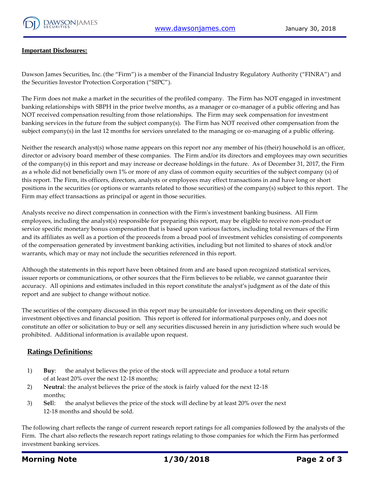

## **Important Disclosures:**

Dawson James Securities, Inc. (the "Firm") is a member of the Financial Industry Regulatory Authority ("FINRA") and the Securities Investor Protection Corporation ("SIPC").

The Firm does not make a market in the securities of the profiled company. The Firm has NOT engaged in investment banking relationships with SBPH in the prior twelve months, as a manager or co-manager of a public offering and has NOT received compensation resulting from those relationships. The Firm may seek compensation for investment banking services in the future from the subject company(s). The Firm has NOT received other compensation from the subject company(s) in the last 12 months for services unrelated to the managing or co-managing of a public offering.

Neither the research analyst(s) whose name appears on this report nor any member of his (their) household is an officer, director or advisory board member of these companies. The Firm and/or its directors and employees may own securities of the company(s) in this report and may increase or decrease holdings in the future. As of December 31, 2017, the Firm as a whole did not beneficially own 1% or more of any class of common equity securities of the subject company (s) of this report. The Firm, its officers, directors, analysts or employees may effect transactions in and have long or short positions in the securities (or options or warrants related to those securities) of the company(s) subject to this report. The Firm may effect transactions as principal or agent in those securities.

Analysts receive no direct compensation in connection with the Firm's investment banking business. All Firm employees, including the analyst(s) responsible for preparing this report, may be eligible to receive non-product or service specific monetary bonus compensation that is based upon various factors, including total revenues of the Firm and its affiliates as well as a portion of the proceeds from a broad pool of investment vehicles consisting of components of the compensation generated by investment banking activities, including but not limited to shares of stock and/or warrants, which may or may not include the securities referenced in this report.

Although the statements in this report have been obtained from and are based upon recognized statistical services, issuer reports or communications, or other sources that the Firm believes to be reliable, we cannot guarantee their accuracy. All opinions and estimates included in this report constitute the analyst's judgment as of the date of this report and are subject to change without notice.

The securities of the company discussed in this report may be unsuitable for investors depending on their specific investment objectives and financial position. This report is offered for informational purposes only, and does not constitute an offer or solicitation to buy or sell any securities discussed herein in any jurisdiction where such would be prohibited. Additional information is available upon request.

## **Ratings Definitions:**

- 1) **Buy**: the analyst believes the price of the stock will appreciate and produce a total return of at least 20% over the next 12-18 months;
- 2) **Neutra**l: the analyst believes the price of the stock is fairly valued for the next 12-18 months;
- 3) **Sel**l: the analyst believes the price of the stock will decline by at least 20% over the next 12-18 months and should be sold.

The following chart reflects the range of current research report ratings for all companies followed by the analysts of the Firm. The chart also reflects the research report ratings relating to those companies for which the Firm has performed investment banking services.